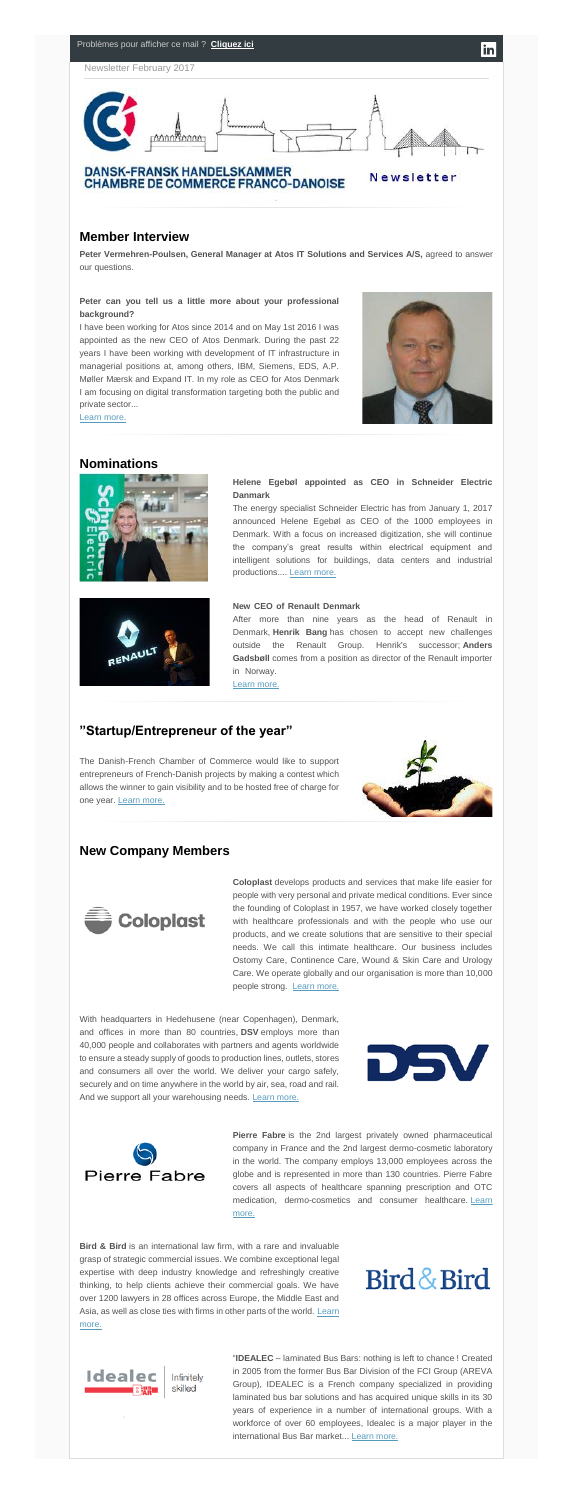#### Problèmes pour afficher ce mail ? **[Cliquez ici](http://www.dansk-fransk.dk/newsletters-danemark/newsletter-fevrier-2017/)**

Newsletter February 2017



#### **Member Interview**

I have been working for Atos since 2014 and on May 1st 2016 I was appointed as the new CEO of Atos Denmark. During the past 22 years I have been working with development of IT infrastructure in managerial positions at, among others, IBM, Siemens, EDS, A.P. Møller Mærsk and Expand IT. In my role as CEO for Atos Denmark I am focusing on digital transformation targeting both the public and private sector...



in

**Peter Vermehren-Poulsen, General Manager at Atos IT Solutions and Services A/S,** agreed to answer our questions.

#### **Peter can you tell us a little more about your professional background?**

The energy specialist Schneider Electric has from January 1, 2017 announced Helene Egebøl as CEO of the 1000 employees in Denmark. With a focus on increased digitization, she will continue the company's great results within electrical equipment and intelligent solutions for buildings, data centers and industrial productions.... [Learn more.](http://www.dansk-fransk.dk/index.php?id=32337)

#### **New CEO of Renault Denmark**

After more than nine years as the head of Renault in Denmark, **Henrik Bang** has chosen to accept new challenges outside the Renault Group. Henrik's successor; **Anders Gadsbøll** comes from a position as director of the Renault importer in Norway.

#### [Learn more.](http://www.dansk-fransk.dk/index.php?id=32327)

#### **Nominations**





#### **Helene Egebøl appointed as CEO in Schneider Electric Danmark**

With headquarters in Hedehusene (near Copenhagen), Denmark, and offices in more than 80 countries, **DSV** employs more than 40,000 people and collaborates with partners and agents worldwide to ensure a steady supply of goods to production lines, outlets, stores and consumers all over the world. We deliver your cargo safely, securely and on time anywhere in the world by air, sea, road and rail. And we support all your warehousing needs. [Learn more.](http://www.dansk-fransk.dk/index.php?id=32330)



[Learn more.](http://www.dansk-fransk.dk/index.php?id=32406)

#### **"Startup/Entrepreneur of the year"**

The Danish-French Chamber of Commerce would like to support entrepreneurs of French-Danish projects by making a contest which allows the winner to gain visibility and to be hosted free of charge for one year. [Learn more.](http://www.dansk-fransk.dk/index.php?id=32129)



#### **New Company Members**



"**IDEALEC** – laminated Bus Bars: nothing is left to chance ! Created in 2005 from the former Bus Bar Division of the FCI Group (AREVA Group), IDEALEC is a French company specialized in providing laminated bus bar solutions and has acquired unique skills in its 30 years of experience in a number of international groups. With a workforce of over 60 employees, Idealec is a major player in the international Bus Bar market... [Learn more.](http://www.dansk-fransk.dk/index.php?id=32341)

**Coloplast** develops products and services that make life easier for people with very personal and private medical conditions. Ever since the founding of Coloplast in 1957, we have worked closely together with healthcare professionals and with the people who use our products, and we create solutions that are sensitive to their special needs. We call this intimate healthcare. Our business includes Ostomy Care, Continence Care, Wound & Skin Care and Urology Care. We operate globally and our organisation is more than 10,000 people strong. [Learn more.](https://www.coloplast.dk/Produkter/?gclid=CjwKEAiA8JbEBRCz2szzhqrx7H8SJAC6FjXXHb2SeRyVHwPWzI-Y0g5jJixfqtSiFH3q7sY1oiYo-BoC2Tzw_wcB&gclsrc=aw.ds)

**Pierre Fabre** is the 2nd largest privately owned pharmaceutical company in France and the 2nd largest dermo-cosmetic laboratory in the world. The company employs 13,000 employees across the globe and is represented in more than 130 countries. Pierre Fabre covers all aspects of healthcare spanning prescription and OTC medication, dermo-cosmetics and consumer healthcare. Learn [more.](http://www.dansk-fransk.dk/index.php?id=32331)

**Bird & Bird** is an international law firm, with a rare and invaluable grasp of strategic commercial issues. We combine exceptional legal expertise with deep industry knowledge and refreshingly creative thinking, to help clients achieve their commercial goals. We have over 1200 lawyers in 28 offices across Europe, the Middle East and Asia, as well as close ties with firms in other parts of the world. [Learn](http://www.dansk-fransk.dk/index.php?id=32394)  [more.](http://www.dansk-fransk.dk/index.php?id=32394)

# Bird & Bird

DSV

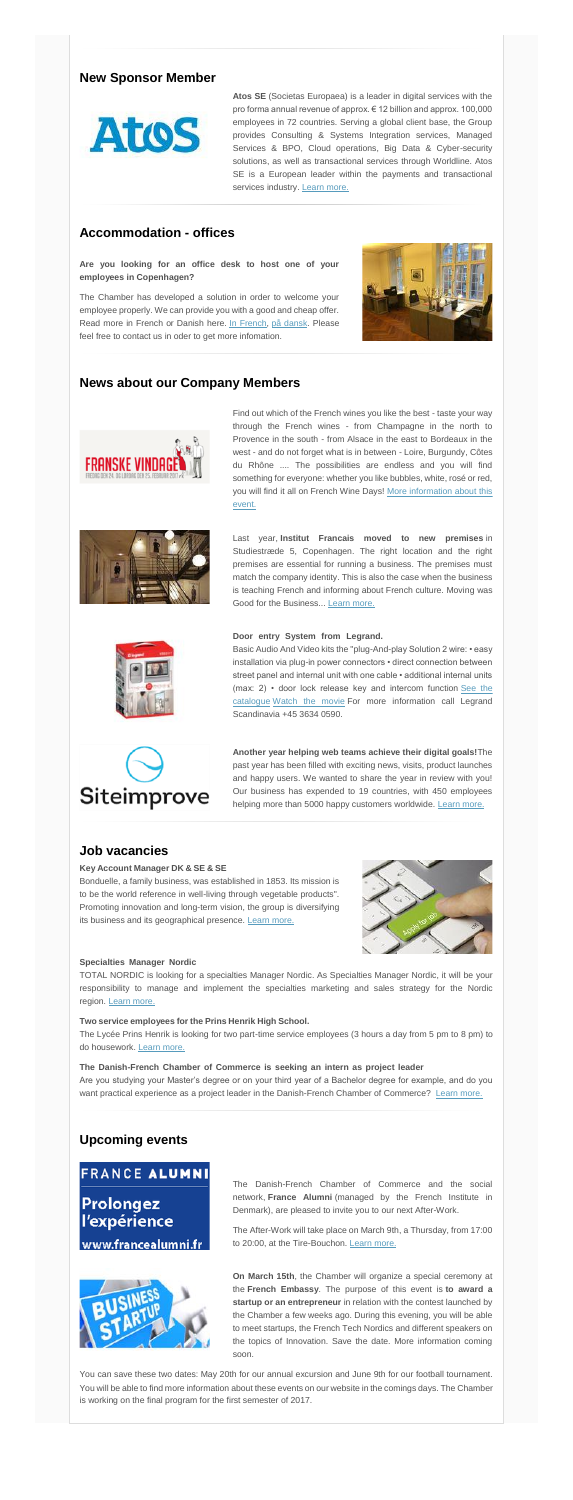#### **New Sponsor Member**

**Atos SE** (Societas Europaea) is a leader in digital services with the pro forma annual revenue of approx. € 12 billion and approx. 100,000 employees in 72 countries. Serving a global client base, the Group provides Consulting & Systems Integration services, Managed Services & BPO, Cloud operations, Big Data & Cyber-security solutions, as well as transactional services through Worldline. Atos SE is a European leader within the payments and transactional services industry. [Learn more.](http://www.dansk-fransk.dk/index.php?id=31409)



#### **Accommodation - offices**

**Are you looking for an office desk to host one of your employees in Copenhagen?**

> Last year, **Institut Francais moved to new premises** in Studiestræde 5, Copenhagen. The right location and the right premises are essential for running a business. The premises must match the company identity. This is also the case when the business is teaching French and informing about French culture. Moving was Good for the Business... [Learn more.](http://www.dansk-fransk.dk/index.php?id=32333)

#### Door entry System from Legrand.

The Chamber has developed a solution in order to welcome your employee properly. We can provide you with a good and cheap offer. Read more in French or Danish here. [In French,](http://www.dansk-fransk.dk/services-aux-entreprises/hebergement-bureaux/) [på dansk.](http://www.dansk-fransk.dk/dk/service-til-virksomheder/indlogering-i-danmark/) Please feel free to contact us in oder to get more infomation.



#### **News about our Company Members**



**Another year helping web teams achieve their digital goals!**The past year has been filled with exciting news, visits, product launches and happy users. We wanted to share the year in review with you! Our business has expended to 19 countries, with 450 employees helping more than 5000 happy customers worldwide. [Learn more.](http://go.siteimprove.com/newsletter-3)

Find out which of the French wines you like the best - taste your way through the French wines - from Champagne in the north to Provence in the south - from Alsace in the east to Bordeaux in the west - and do not forget what is in between - Loire, Burgundy, Côtes du Rhône .... The possibilities are endless and you will find something for everyone: whether you like bubbles, white, rosé or red, you will find it all on French Wine Days! [More information about this](http://www.dansk-fransk.dk/index.php?id=32332)  [event.](http://www.dansk-fransk.dk/index.php?id=32332)





Bonduelle, a family business, was established in 1853. Its mission is to be the world reference in well-living through vegetable products". Promoting innovation and long-term vision, the group is diversifying its business and its geographical presence. [Learn more.](http://www.dansk-fransk.dk/index.php?id=32285)



#### **Specialties Manager Nordic**

TOTAL NORDIC is looking for a specialties Manager Nordic. As Specialties Manager Nordic, it will be your responsibility to manage and implement the specialties marketing and sales strategy for the Nordic region. [Learn more.](http://www.dansk-fransk.dk/index.php?id=32089)

The Lycée Prins Henrik is looking for two part-time service employees (3 hours a day from 5 pm to 8 pm) to do housework. [Learn more.](http://www.dansk-fransk.dk/index.php?id=29901)

#### The Danish-French Chamber of Commerce is seeking an intern as project leader

Are you studying your Master's degree or on your third year of a Bachelor degree for example, and do you want practical experience as a project leader in the Danish-French Chamber of Commerce? [Learn more.](http://www.dansk-fransk.dk/index.php?id=32245)

Basic Audio And Video kits the "plug-And-play Solution 2 wire: • easy installation via plug-in power connectors • direct connection between street panel and internal unit with one cable • additional internal units (max: 2) • door lock release key and intercom function See the [catalogue](http://www.export.legrand.com/files/fck/pdf-EN/EX214034_p4-p11.pdf) [Watch the movie](https://www.youtube.com/watch?v=mQQBim_iPzU) For more information call Legrand Scandinavia +45 3634 0590.



#### **Job vacancies**



#### **Key Account Manager DK & SE & SE**

#### **Two service employees for the Prins Henrik High School. ………………………………………………………**

### **Upcoming events**

## **FRANCE ALUMNI**

Prolongez l'expérience

www.francealumni.fr



The Danish-French Chamber of Commerce and the social network, **France Alumni** (managed by the French Institute in Denmark), are pleased to invite you to our next After-Work.

The After-Work will take place on March 9th, a Thursday, from 17:00 to 20:00, at the Tire-Bouchon. [Learn more.](http://www.dansk-fransk.dk/actualite/evenements/vue-detail/d/after-work-with-france-alumni-1/)

**On March 15th**, the Chamber will organize a special ceremony at the **French Embassy**. The purpose of this event is **to award a startup or an entrepreneur** in relation with the contest launched by the Chamber a few weeks ago. During this evening, you will be able to meet startups, the French Tech Nordics and different speakers on the topics of Innovation. Save the date. More information coming soon.

You can save these two dates: May 20th for our annual excursion and June 9th for our football tournament. You will be able to find more information about these events on our website in the comings days. The Chamber is working on the final program for the first semester of 2017.